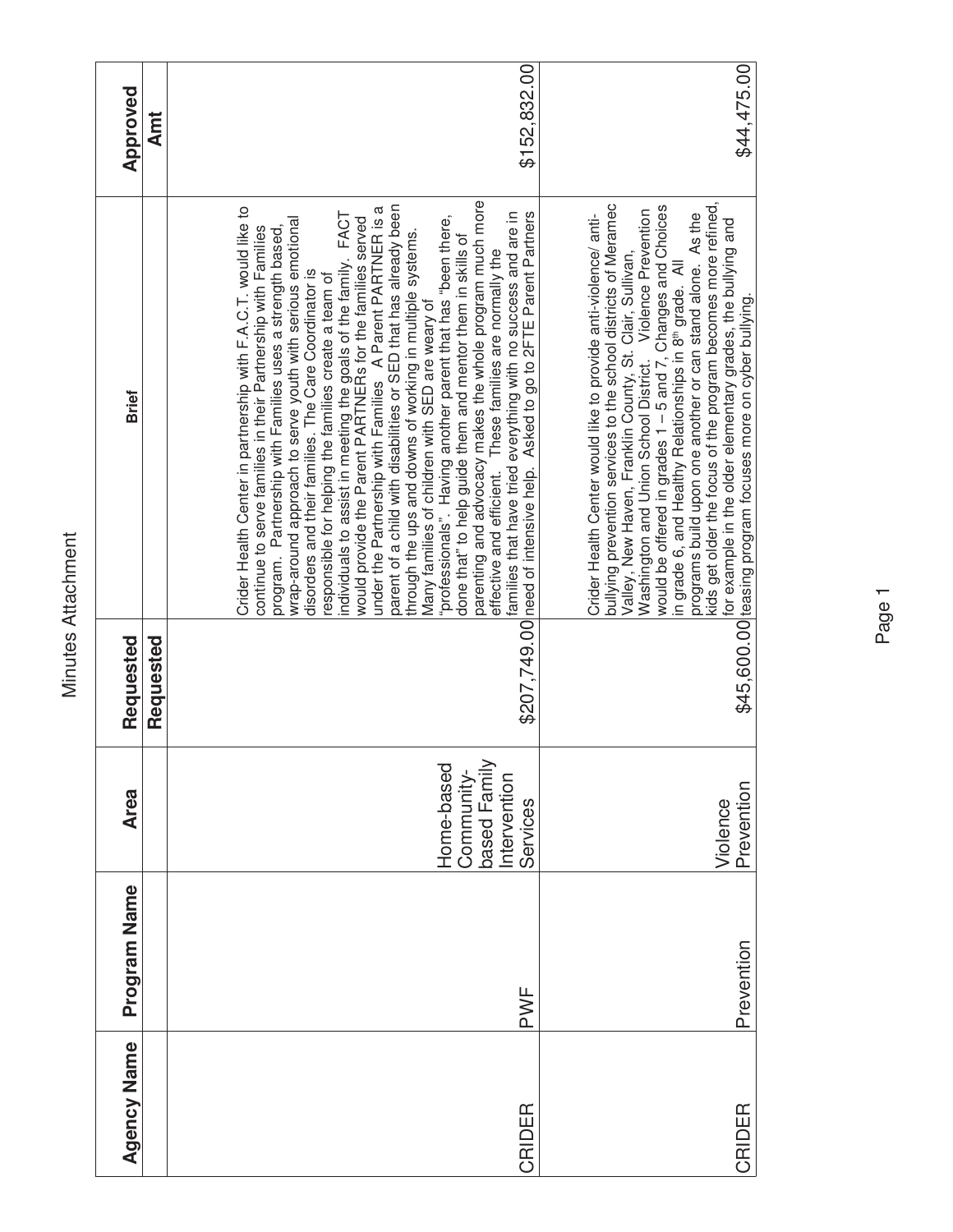| Approved           | <b>Annt</b> | \$152,832.00                                                                                                                                                                                                                                                                                                                                                                                                                                                                                                                                                                                                                                                                                                                                                                                                                                                                                                                                                                                                                                                                                                                                                      | \$44,475.00                                                                                                                                                                                                                                                                                                                                                                                                                                                                                                                                                                                                                                          |
|--------------------|-------------|-------------------------------------------------------------------------------------------------------------------------------------------------------------------------------------------------------------------------------------------------------------------------------------------------------------------------------------------------------------------------------------------------------------------------------------------------------------------------------------------------------------------------------------------------------------------------------------------------------------------------------------------------------------------------------------------------------------------------------------------------------------------------------------------------------------------------------------------------------------------------------------------------------------------------------------------------------------------------------------------------------------------------------------------------------------------------------------------------------------------------------------------------------------------|------------------------------------------------------------------------------------------------------------------------------------------------------------------------------------------------------------------------------------------------------------------------------------------------------------------------------------------------------------------------------------------------------------------------------------------------------------------------------------------------------------------------------------------------------------------------------------------------------------------------------------------------------|
|                    |             |                                                                                                                                                                                                                                                                                                                                                                                                                                                                                                                                                                                                                                                                                                                                                                                                                                                                                                                                                                                                                                                                                                                                                                   |                                                                                                                                                                                                                                                                                                                                                                                                                                                                                                                                                                                                                                                      |
| <b>Brief</b>       |             | parenting and advocacy makes the whole program much more<br>effective and efficient. These families are normally the<br>parent of a child with disabilities or SED that has already been<br>under the Partnership with Families A Parent PARTNER is a<br>Crider Health Center in partnership with F.A.C.T. would like to<br>individuals to assist in meeting the goals of the family. FACT<br>would provide the Parent PARTNERs for the families served<br>\$207,749.00 need of intensive help. Asked to go to 2FTE Parent Partners<br>families that have tried everything with no success and are in<br>"professionals". Having another parent that has "been there,<br>wrap-around approach to serve youth with serious emotional<br>continue to serve families in their Partnership with Families<br>program. Partnership with Families uses a strength based,<br>through the ups and downs of working in multiple systems.<br>done that" to help guide them and mentor them in skills of<br>disorders and their families. The Care Coordinator is<br>responsible for helping the families create a team of<br>Many families of children with SED are weary of | kids get older the focus of the program becomes more refined,<br>bullying prevention services to the school districts of Meramec<br>Washington and Union School District.  Violence Prevention<br>would be offered in grades 1 – 5 and 7, Changes and Choices<br>Crider Health Center would like to provide anti-violence/ anti-<br>programs build upon one another or can stand alone. As the<br>for example in the older elementary grades, the bullying and<br>Valley, New Haven, Franklin County, St. Clair, Sullivan,<br>in grade 6, and Healthy Relationships in 8th grade. All<br>\$45,600.00 teasing program focuses more on cyber bullying. |
| Requested          | Requested   |                                                                                                                                                                                                                                                                                                                                                                                                                                                                                                                                                                                                                                                                                                                                                                                                                                                                                                                                                                                                                                                                                                                                                                   |                                                                                                                                                                                                                                                                                                                                                                                                                                                                                                                                                                                                                                                      |
| <b>Area</b>        |             | based Family<br>Home-based<br>Community-<br>Intervention<br>Services                                                                                                                                                                                                                                                                                                                                                                                                                                                                                                                                                                                                                                                                                                                                                                                                                                                                                                                                                                                                                                                                                              | Prevention<br>Violence                                                                                                                                                                                                                                                                                                                                                                                                                                                                                                                                                                                                                               |
| Program Name       |             | PWF                                                                                                                                                                                                                                                                                                                                                                                                                                                                                                                                                                                                                                                                                                                                                                                                                                                                                                                                                                                                                                                                                                                                                               | Prevention                                                                                                                                                                                                                                                                                                                                                                                                                                                                                                                                                                                                                                           |
| <b>Agency Name</b> |             | CRIDER                                                                                                                                                                                                                                                                                                                                                                                                                                                                                                                                                                                                                                                                                                                                                                                                                                                                                                                                                                                                                                                                                                                                                            | CRIDER                                                                                                                                                                                                                                                                                                                                                                                                                                                                                                                                                                                                                                               |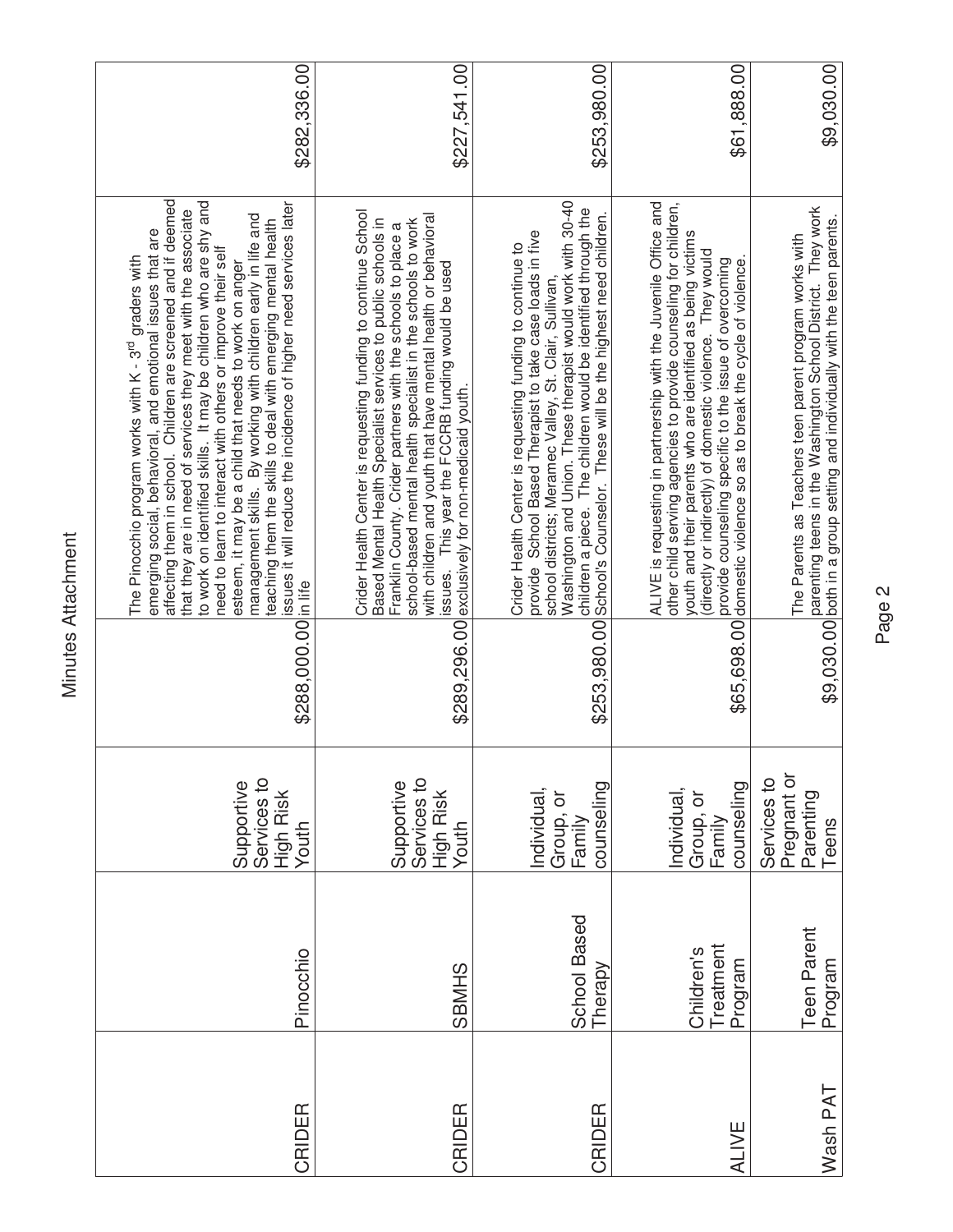| \$282,336.00                                                                                                                                                                                                                                                                                                                                                                                                                                                                                                                                                                                                                                                         | \$227,541.00                                                                                                                                                                                                                                                                                                                                                                                                                            |                                                                                                                                                                                                                                                                                                                   | \$253,980.00<br>\$61,888.00                                                                                                                                                                                                                                                                                                                                                                                                                                                   |
|----------------------------------------------------------------------------------------------------------------------------------------------------------------------------------------------------------------------------------------------------------------------------------------------------------------------------------------------------------------------------------------------------------------------------------------------------------------------------------------------------------------------------------------------------------------------------------------------------------------------------------------------------------------------|-----------------------------------------------------------------------------------------------------------------------------------------------------------------------------------------------------------------------------------------------------------------------------------------------------------------------------------------------------------------------------------------------------------------------------------------|-------------------------------------------------------------------------------------------------------------------------------------------------------------------------------------------------------------------------------------------------------------------------------------------------------------------|-------------------------------------------------------------------------------------------------------------------------------------------------------------------------------------------------------------------------------------------------------------------------------------------------------------------------------------------------------------------------------------------------------------------------------------------------------------------------------|
| affecting them in school. Children are screened and if deemed<br>to work on identified skills. It may be children who are shy and<br>issues it will reduce the incidence of higher need services later<br>that they are in need of services they meet with the associate<br>management skills. By working with children early in life and<br>teaching them the skills to deal with emerging mental health<br>emerging social, behavioral, and emotional issues that are<br>need to learn to interact with others or improve their self<br>The Pinocchio program works with K - 3 <sup>rd</sup> graders with<br>esteem, it may be a child that needs to work on anger | Crider Health Center is requesting funding to continue School<br>with children and youth that have mental health or behavioral<br>Based Mental Health Specialist services to public schools in<br>school-based mental health specialist in the schools to work<br>Franklin County. Crider partners with the schools to place a<br>issues. This year the FCCRB funding would be used<br>\$289,296.00 exclusively for non-medicaid youth. | Washington and Union. These therapist would work with 30-40<br>children a piece. The children would be identified through the<br>provide School Based Therapist to take case loads in five<br>Crider Health Center is requesting funding to continue to<br>school districts; Meramec Valley, St. Clair, Sullivan, | ALIVE is requesting in partnership with the Juvenile Office and<br>other child serving agencies to provide counseling for children,<br>\$253,980.00 School's Counselor. These will be the highest need children.<br>youth and their parents who are identified as being victims<br>(directly or indirectly) of domestic violence. They would<br>provide counseling specific to the issue of overcoming<br>\$65,698.00 domestic violence so as to break the cycle of violence. |
| \$288,000.00 in life                                                                                                                                                                                                                                                                                                                                                                                                                                                                                                                                                                                                                                                 |                                                                                                                                                                                                                                                                                                                                                                                                                                         |                                                                                                                                                                                                                                                                                                                   |                                                                                                                                                                                                                                                                                                                                                                                                                                                                               |
| Services to<br>Supportive<br>High Risk<br>Youth                                                                                                                                                                                                                                                                                                                                                                                                                                                                                                                                                                                                                      | Services to<br>Supportive<br>High Risk<br>Youth                                                                                                                                                                                                                                                                                                                                                                                         | counseling<br>Individual,<br>Group, or<br>Family                                                                                                                                                                                                                                                                  | counseling<br>Individual,<br>ŏ<br>Group,                                                                                                                                                                                                                                                                                                                                                                                                                                      |
| Pinocchio                                                                                                                                                                                                                                                                                                                                                                                                                                                                                                                                                                                                                                                            | <b>SBMHS</b>                                                                                                                                                                                                                                                                                                                                                                                                                            | School Based                                                                                                                                                                                                                                                                                                      | Treatment<br>Children's<br>Program<br>Therapy                                                                                                                                                                                                                                                                                                                                                                                                                                 |
| CRIDER                                                                                                                                                                                                                                                                                                                                                                                                                                                                                                                                                                                                                                                               | CRIDER                                                                                                                                                                                                                                                                                                                                                                                                                                  | CRIDER                                                                                                                                                                                                                                                                                                            | ALIVE                                                                                                                                                                                                                                                                                                                                                                                                                                                                         |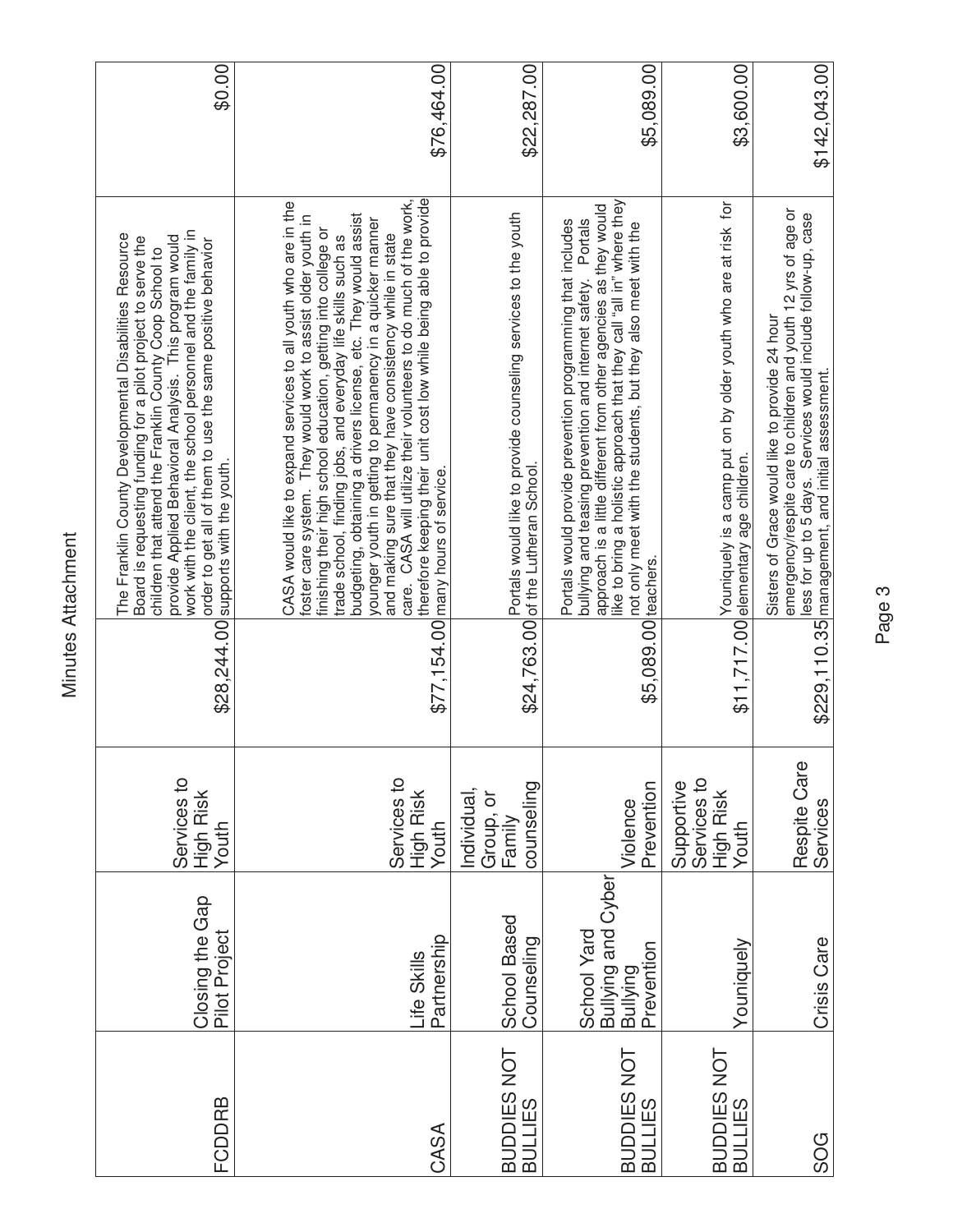| FCDDRB                        | Closing the Gap<br>Pilot Project                            | Services to<br>High Risk<br>Youth                |                     | work with the client, the school personnel and the family in<br>The Franklin County Developmental Disabilities Resource<br>provide Applied Behavioral Analysis. This program would<br>Board is requesting funding for a pilot project to serve the<br>order to get all of them to use the same positive behavior<br>children that attend the Franklin County Coop School to<br>\$28,244.00 supports with the youth.                                                                                                                                                                                                                          | \$0.00       |
|-------------------------------|-------------------------------------------------------------|--------------------------------------------------|---------------------|----------------------------------------------------------------------------------------------------------------------------------------------------------------------------------------------------------------------------------------------------------------------------------------------------------------------------------------------------------------------------------------------------------------------------------------------------------------------------------------------------------------------------------------------------------------------------------------------------------------------------------------------|--------------|
| CASA                          | Partnership<br>Life Skills                                  | Services to<br>High Risk<br>Youth                |                     | therefore keeping their unit cost low while being able to provide<br>care. CASA will utilize their volunteers to do much of the work,<br>CASA would like to expand services to all youth who are in the<br>budgeting, obtaining a drivers license, etc. They would assist<br>foster care system. They would work to assist older youth in<br>younger youth in getting to permanency in a quicker manner<br>finishing their high school education, getting into college or<br>and making sure that they have consistency while in state<br>trade school, finding jobs, and everyday life skills such as<br>\$77,154.00 many hours of service. | \$76,464.00  |
| BUDDIES NOT<br><b>BULLIES</b> | School Based<br>Counseling                                  | counseling<br>Individual,<br>Group, or<br>Family |                     | Portals would like to provide counseling services to the youth<br>\$24,763.00 of the Lutheran School.                                                                                                                                                                                                                                                                                                                                                                                                                                                                                                                                        | \$22,287.00  |
| BUDDIES NOT<br><b>BULLIES</b> | Bullying and Cyber<br>Bullying<br>School Yard<br>Prevention | Prevention<br>Violence                           | \$5,089.00 teachers | like to bring a holistic approach that they call "all in" where they<br>approach is a little different from other agencies as they would<br>Portals would provide prevention programming that includes<br>Portals<br>not only meet with the students, but they also meet with the<br>bullying and teasing prevention and internet safety.                                                                                                                                                                                                                                                                                                    | \$5,089.00   |
| BUDDIES NOT<br><b>BULLIES</b> | Youniquely                                                  | Services to<br>Supportive<br>High Risk<br>Youth  |                     | Youniquely is a camp put on by older youth who are at risk for<br>\$11,717.00 elementary age children.                                                                                                                                                                                                                                                                                                                                                                                                                                                                                                                                       | \$3,600.00   |
| SOG                           | Crisis Care                                                 | Respite Care<br>Services                         |                     | emergency/respite care to children and youth 12 yrs of age or<br>less for up to 5 days. Services would include follow-up, case<br>Sisters of Grace would like to provide 24 hour<br>\$229,110.35 management, and initial assessment.                                                                                                                                                                                                                                                                                                                                                                                                         | \$142,043.00 |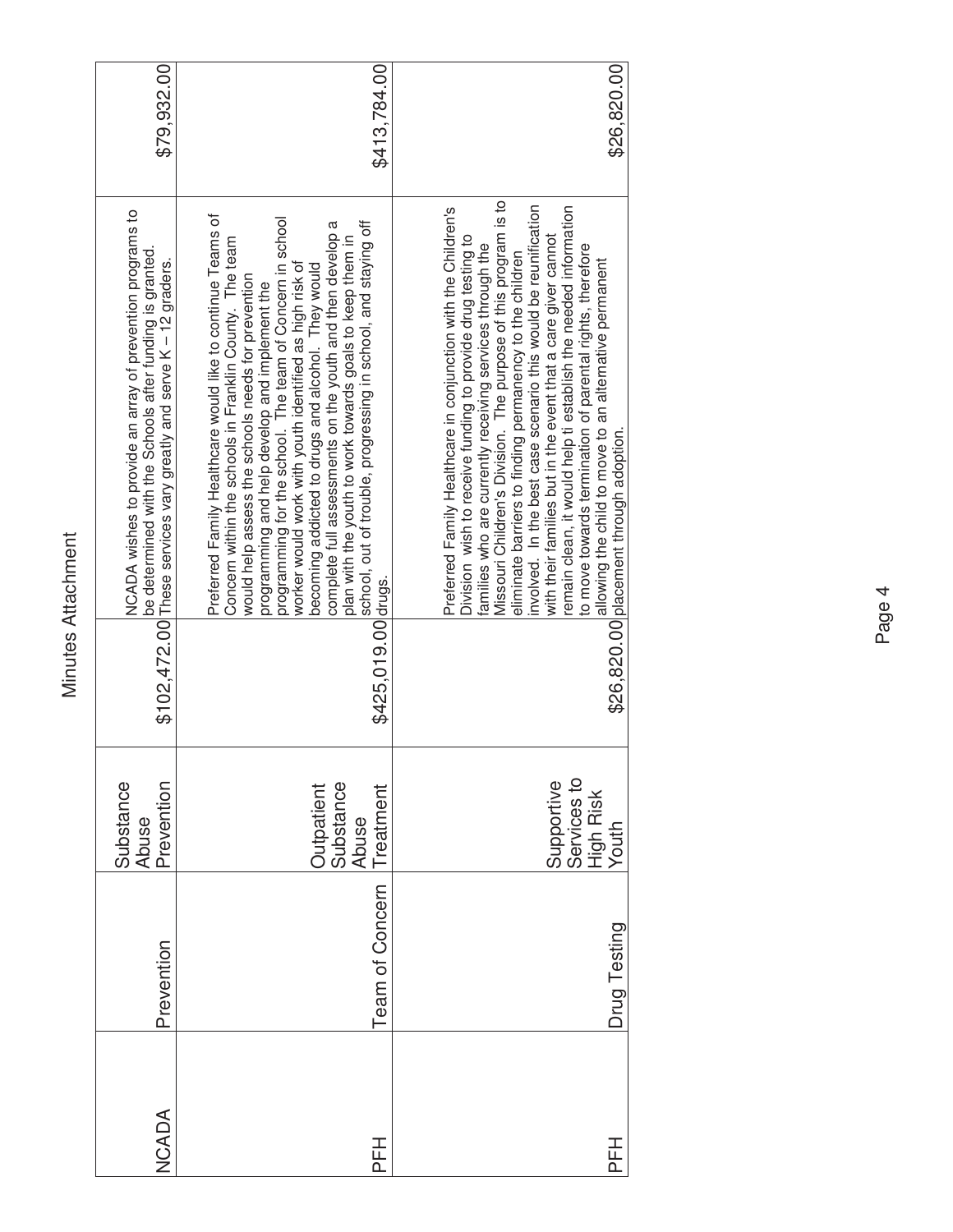| \$79,932.00                                                                                                                                                                                  | \$413,784.00                                                                                                                                                                                                                                                                                                                                                                                                                                                                                                                                                                                             | \$26,820.00                                                                                                                                                                                                                                                                                                                                                                                                                                                                                                                                                                                                                                                                                        |
|----------------------------------------------------------------------------------------------------------------------------------------------------------------------------------------------|----------------------------------------------------------------------------------------------------------------------------------------------------------------------------------------------------------------------------------------------------------------------------------------------------------------------------------------------------------------------------------------------------------------------------------------------------------------------------------------------------------------------------------------------------------------------------------------------------------|----------------------------------------------------------------------------------------------------------------------------------------------------------------------------------------------------------------------------------------------------------------------------------------------------------------------------------------------------------------------------------------------------------------------------------------------------------------------------------------------------------------------------------------------------------------------------------------------------------------------------------------------------------------------------------------------------|
| NCADA wishes to provide an array of prevention programs to<br>be determined with the Schools after funding is granted.<br>\$102,472.00 These services vary greatly and serve K - 12 graders. | Preferred Family Healthcare would like to continue Teams of<br>programming for the school. The team of Concern in school<br>school, out of trouble, progressing in school, and staying off<br>complete full assessments on the youth and then develop a<br>plan with the youth to work towards goals to keep them in<br>Concern within the schools in Franklin County. The team<br>worker would work with youth identified as high risk of<br>becoming addicted to drugs and alcohol. They would<br>would help assess the schools needs for prevention<br>programming and help develop and implement the | Missouri Children's Division. The purpose of this program is to<br>involved. In the best case scenario this would be reunification<br>remain clean, it would help ti establish the needed information<br>Preferred Family Healthcare in conjunction with the Children's<br>with their families but in the event that a care giver cannot<br>Division wish to receive funding to provide drug testing to<br>families who are currently receiving services through the<br>to move towards termination of parental rights, therefore<br>eliminate barriers to finding permanency to the children<br>allowing the child to move to an alternative permanent<br>\$26,820.00 placement through adoption. |
|                                                                                                                                                                                              | \$425,019.00 drugs.                                                                                                                                                                                                                                                                                                                                                                                                                                                                                                                                                                                      |                                                                                                                                                                                                                                                                                                                                                                                                                                                                                                                                                                                                                                                                                                    |
| Substance<br>Prevention<br>Abuse                                                                                                                                                             | Substance<br><b>Outpatient</b><br>Treatment<br>Abuse                                                                                                                                                                                                                                                                                                                                                                                                                                                                                                                                                     | Services to<br>Supportive<br>High Risk<br>Youth                                                                                                                                                                                                                                                                                                                                                                                                                                                                                                                                                                                                                                                    |
| Prevention                                                                                                                                                                                   | <b>Team of Concern</b>                                                                                                                                                                                                                                                                                                                                                                                                                                                                                                                                                                                   | Drug Testing                                                                                                                                                                                                                                                                                                                                                                                                                                                                                                                                                                                                                                                                                       |
| NCADA                                                                                                                                                                                        | PFH                                                                                                                                                                                                                                                                                                                                                                                                                                                                                                                                                                                                      | PFH                                                                                                                                                                                                                                                                                                                                                                                                                                                                                                                                                                                                                                                                                                |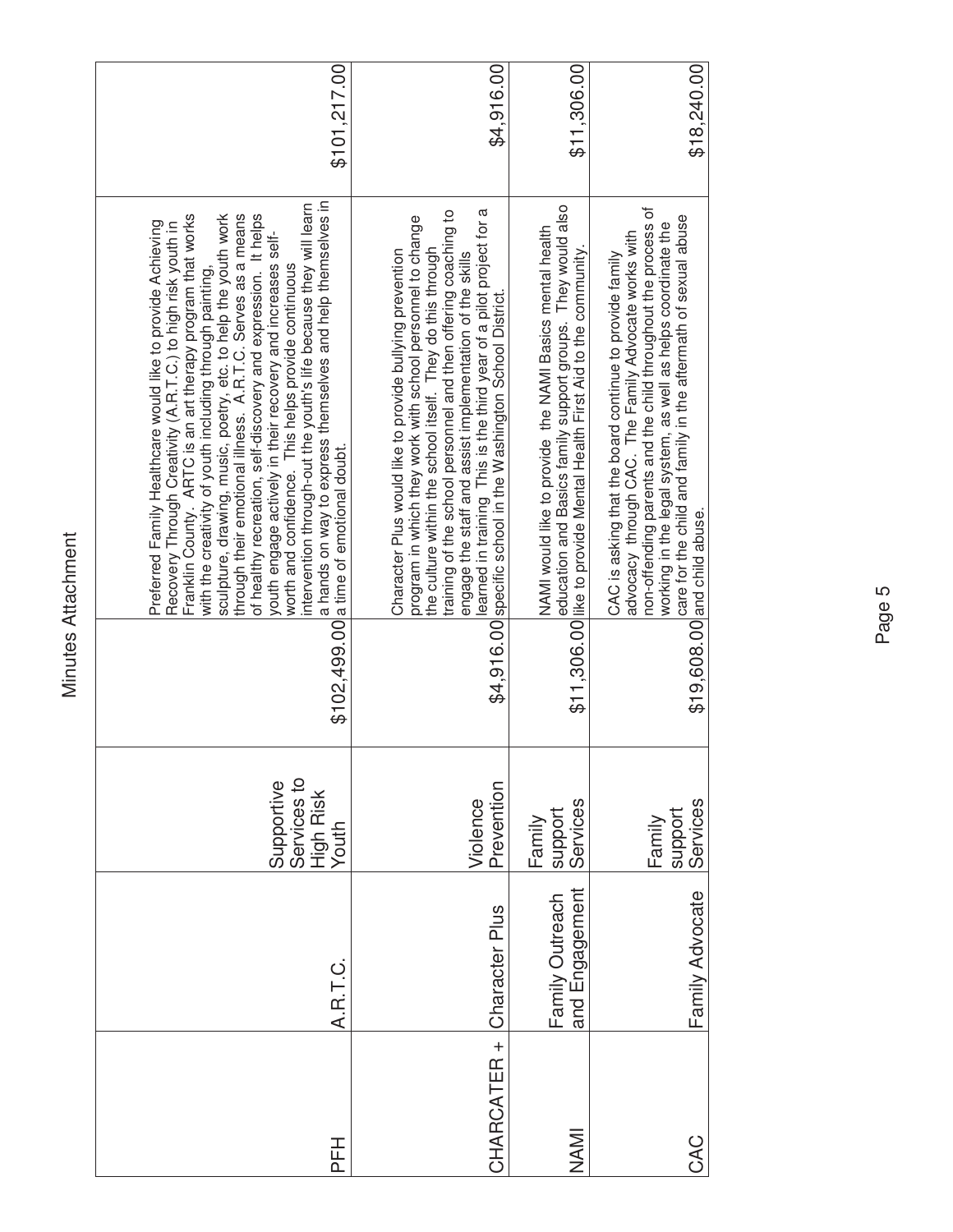| \$18,240.00  | non-offending parents and the child throughout the process of<br>care for the child and family in the aftermath of sexual abuse<br>working in the legal system, as well as helps coordinate the<br>advocacy through CAC. The Family Advocate works with<br>CAC is asking that the board continue to provide family<br>$$19,608.00$ and child abuse.                                                                                                                                                                                                                                                                                                                                                                                                           | Services<br>support<br>Family                   | Family Advocate                   | CAC         |
|--------------|---------------------------------------------------------------------------------------------------------------------------------------------------------------------------------------------------------------------------------------------------------------------------------------------------------------------------------------------------------------------------------------------------------------------------------------------------------------------------------------------------------------------------------------------------------------------------------------------------------------------------------------------------------------------------------------------------------------------------------------------------------------|-------------------------------------------------|-----------------------------------|-------------|
| \$11,306.00  | education and Basics family support groups. They would also<br>NAMI would like to provide the NAMI Basics mental health<br>\$11,306.00 like to provide Mental Health First Aid to the community.                                                                                                                                                                                                                                                                                                                                                                                                                                                                                                                                                              | Services<br>support<br>Family                   | and Engagement<br>Family Outreach | <b>NAMI</b> |
| \$4,916.00   | training of the school personnel and then offering coaching to<br>learned in training This is the third year of a pilot project for a<br>program in which they work with school personnel to change<br>the culture within the school itself. They do this through<br>Character Plus would like to provide bullying prevention<br>engage the staff and assist implementation of the skills<br>\$4,916.00 specific school in the Washington School District.                                                                                                                                                                                                                                                                                                    | Prevention<br>Violence                          | Character Plus                    | CHARCATER + |
| \$101,217.00 | a hands on way to express themselves and help themselves in<br>intervention through-out the youth's life because they will learn<br>sculpture, drawing, music, poetry, etc. to help the youth work<br>through their emotional illness. A.R.T.C. Serves as a means<br>of healthy recreation, self-discovery and expression. It helps<br>Franklin County. ARTC is an art therapy program that works<br>Preferred Family Healthcare would like to provide Achieving<br>Recovery Through Creativity (A.R.T.C.) to high risk youth in<br>youth engage actively in their recovery and increases self-<br>worth and confidence. This helps provide continuous<br>with the creativity of youth including through painting,<br>\$102,499.00 a time of emotional doubt. | Supportive<br>Services to<br>High Risk<br>Youth | A.R.T.C.                          | <b>HH</b>   |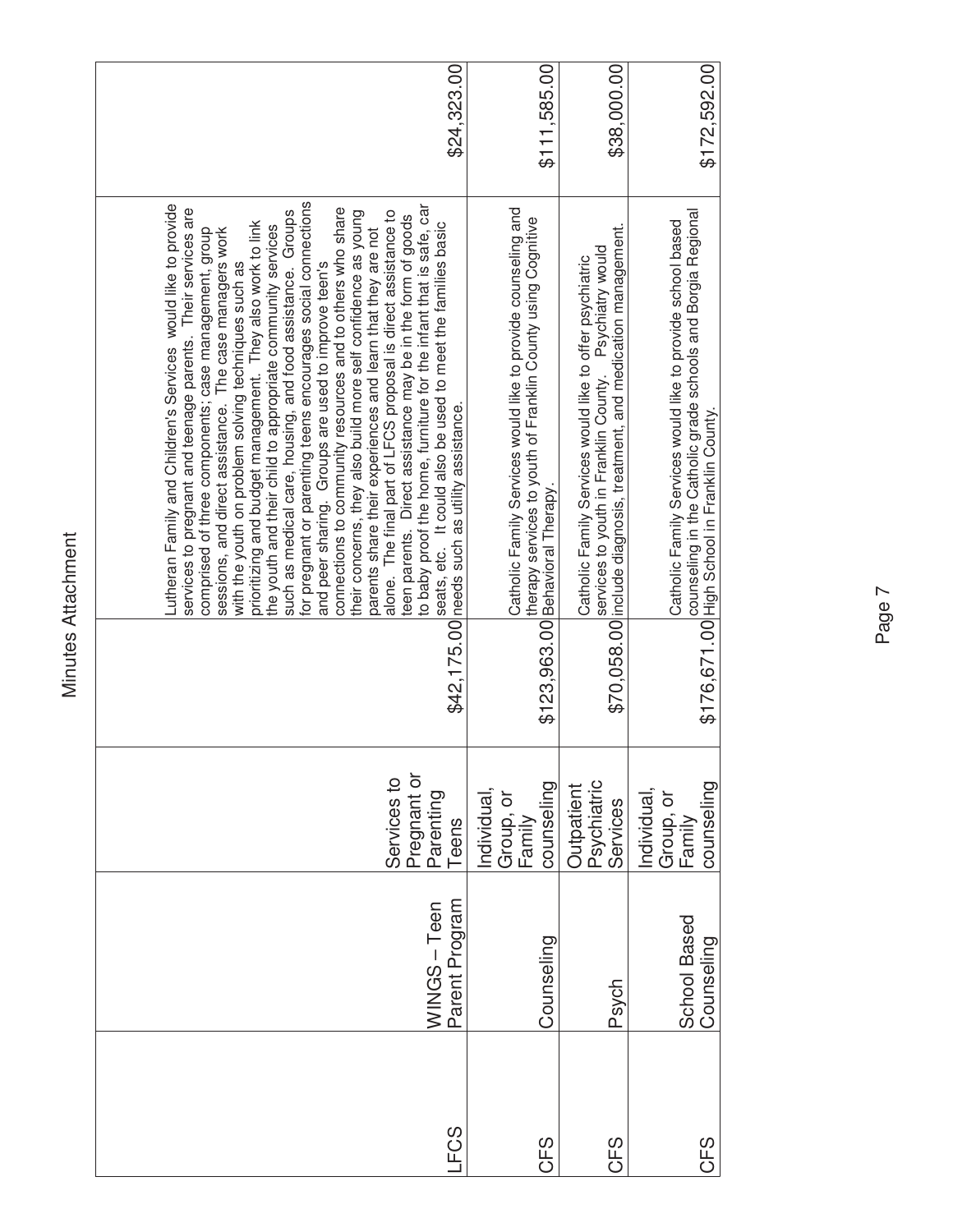| \$24,323.00<br>for pregnant or parenting teens encourages social connections<br>Lutheran Family and Children's Services would like to provide<br>to baby proof the home, furniture for the infant that is safe, car<br>services to pregnant and teenage parents. Their services are<br>connections to community resources and to others who share<br>alone. The final part of LFCS proposal is direct assistance to<br>such as medical care, housing, and food assistance. Groups<br>their concerns, they also build more self confidence as young<br>teen parents. Direct assistance may be in the form of goods<br>prioritizing and budget management. They also work to link<br>seats, etc. It could also be used to meet the families basic<br>the youth and their child to appropriate community services<br>parents share their experiences and learn that they are not<br>comprised of three components; case management, group<br>sessions, and direct assistance. The case managers work<br>with the youth on problem solving techniques such as<br>and peer sharing. Groups are used to improve teen's<br>\$42,175.00 needs such as utility assistance.<br>Pregnant or<br>Services to<br>Parenting<br>Teens | \$11,585.00<br>Catholic Family Services would like to provide counseling and<br>therapy services to youth of Franklin County using Cognitive<br>\$123,963.00 Behavioral Therapy.<br>counseling<br>Individual<br>Group, or<br>Family | \$38,000.00<br>\$70,058.00 include diagnosis, treatment, and medication management.<br>services to youth in Franklin County. Psychiatry would<br>Catholic Family Services would like to offer psychiatric<br>Psychiatric<br>Services<br>Outpatient | \$172,592.00<br>counseling in the Catholic grade schools and Borgia Regional<br>\$176,671.00 High School in Franklin County.<br>Catholic Family Services would like to provide school based<br>counseling<br>Individual.<br>Group, or<br>Family |  |
|-----------------------------------------------------------------------------------------------------------------------------------------------------------------------------------------------------------------------------------------------------------------------------------------------------------------------------------------------------------------------------------------------------------------------------------------------------------------------------------------------------------------------------------------------------------------------------------------------------------------------------------------------------------------------------------------------------------------------------------------------------------------------------------------------------------------------------------------------------------------------------------------------------------------------------------------------------------------------------------------------------------------------------------------------------------------------------------------------------------------------------------------------------------------------------------------------------------------------|-------------------------------------------------------------------------------------------------------------------------------------------------------------------------------------------------------------------------------------|----------------------------------------------------------------------------------------------------------------------------------------------------------------------------------------------------------------------------------------------------|-------------------------------------------------------------------------------------------------------------------------------------------------------------------------------------------------------------------------------------------------|--|
|                                                                                                                                                                                                                                                                                                                                                                                                                                                                                                                                                                                                                                                                                                                                                                                                                                                                                                                                                                                                                                                                                                                                                                                                                       |                                                                                                                                                                                                                                     |                                                                                                                                                                                                                                                    |                                                                                                                                                                                                                                                 |  |
|                                                                                                                                                                                                                                                                                                                                                                                                                                                                                                                                                                                                                                                                                                                                                                                                                                                                                                                                                                                                                                                                                                                                                                                                                       |                                                                                                                                                                                                                                     |                                                                                                                                                                                                                                                    |                                                                                                                                                                                                                                                 |  |
|                                                                                                                                                                                                                                                                                                                                                                                                                                                                                                                                                                                                                                                                                                                                                                                                                                                                                                                                                                                                                                                                                                                                                                                                                       |                                                                                                                                                                                                                                     |                                                                                                                                                                                                                                                    |                                                                                                                                                                                                                                                 |  |
| Parent Program<br>WINGS-Teen                                                                                                                                                                                                                                                                                                                                                                                                                                                                                                                                                                                                                                                                                                                                                                                                                                                                                                                                                                                                                                                                                                                                                                                          | Counseling                                                                                                                                                                                                                          | Psych                                                                                                                                                                                                                                              | School Based<br>Counseling                                                                                                                                                                                                                      |  |
| FCS                                                                                                                                                                                                                                                                                                                                                                                                                                                                                                                                                                                                                                                                                                                                                                                                                                                                                                                                                                                                                                                                                                                                                                                                                   | CFS                                                                                                                                                                                                                                 | CFS                                                                                                                                                                                                                                                | CFS                                                                                                                                                                                                                                             |  |